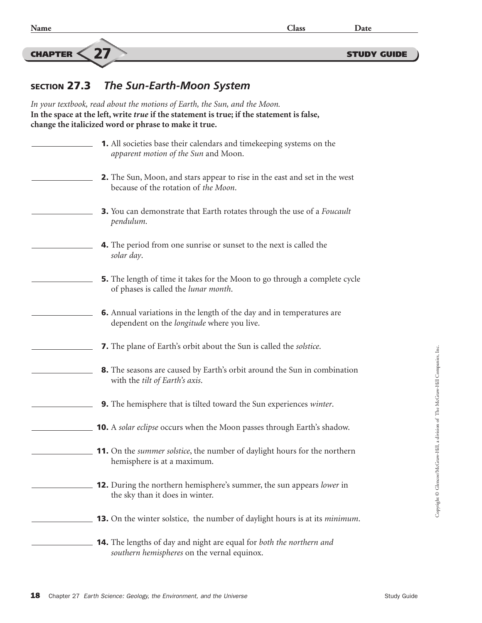$\frac{CHAPTER \leq 27}{C}$  study guide

## SECTION 27.3 *The Sun-Earth-Moon System*

*In your textbook, read about the motions of Earth, the Sun, and the Moon.* **In the space at the left, write** *true* **if the statement is true; if the statement is false, change the italicized word or phrase to make it true.** 1. All societies base their calendars and timekeeping systems on the *apparent motion of the Sun* and Moon. 2. The Sun, Moon, and stars appear to rise in the east and set in the west because of the rotation of *the Moon*. 3. You can demonstrate that Earth rotates through the use of a *Foucault pendulum*. 4. The period from one sunrise or sunset to the next is called the *solar day*. 5. The length of time it takes for the Moon to go through a complete cycle of phases is called the *lunar month*. 6. Annual variations in the length of the day and in temperatures are dependent on the *longitude* where you live. 7. The plane of Earth's orbit about the Sun is called the *solstice*. 8. The seasons are caused by Earth's orbit around the Sun in combination with the *tilt of Earth's axis*. 9. The hemisphere that is tilted toward the Sun experiences *winter*. 10. A *solar eclipse* occurs when the Moon passes through Earth's shadow. 11. On the *summer solstice*, the number of daylight hours for the northern hemisphere is at a maximum. 12. During the northern hemisphere's summer, the sun appears *lower* in the sky than it does in winter. 13. On the winter solstice, the number of daylight hours is at its *minimum*. 14. The lengths of day and night are equal for *both the northern and southern hemispheres* on the vernal equinox.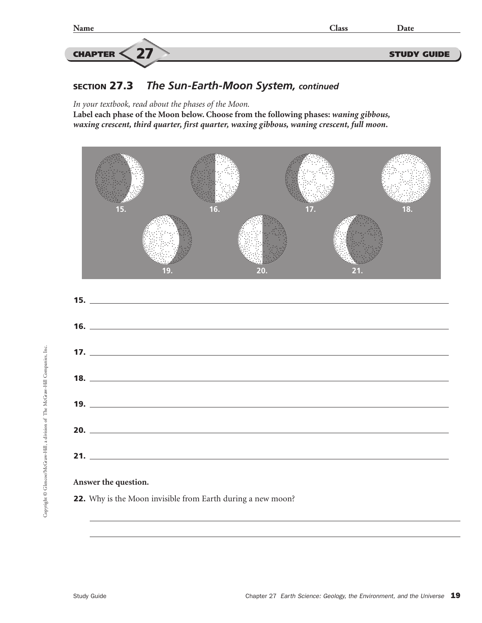

## SECTION 27.3 *The Sun-Earth-Moon System, continued*

*In your textbook, read about the phases of the Moon.*

**Label each phase of the Moon below. Choose from the following phases:** *waning gibbous, waxing crescent, third quarter, first quarter, waxing gibbous, waning crescent, full moon***.**





22. Why is the Moon invisible from Earth during a new moon?